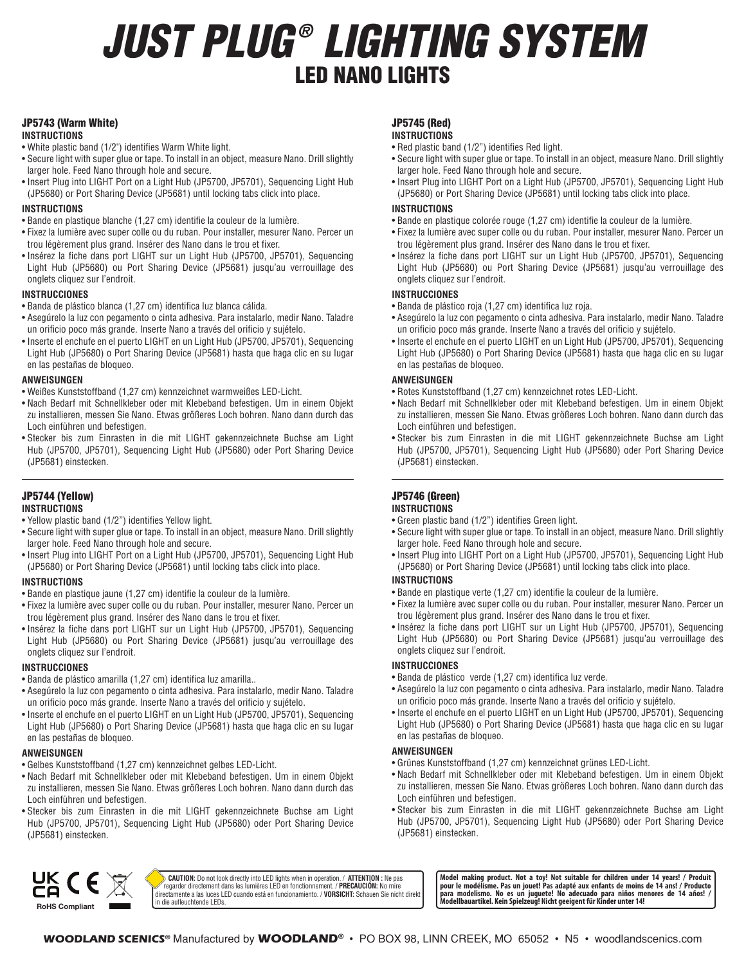# *JUST PLUG ® LIGHTING SYSTEM* LED NANO LIGHTS

# JP5743 (Warm White)

#### **INSTRUCTIONS**

- White plastic band (1/2") identifies Warm White light.
- Secure light with super glue or tape. To install in an object, measure Nano. Drill slightly larger hole. Feed Nano through hole and secure.
- Insert Plug into LIGHT Port on a Light Hub (JP5700, JP5701), Sequencing Light Hub (JP5680) or Port Sharing Device (JP5681) until locking tabs click into place.

# **INSTRUCTIONS**

- Bande en plastique blanche (1,27 cm) identifie la couleur de la lumière.
- Fixez la lumière avec super colle ou du ruban. Pour installer, mesurer Nano. Percer un trou légèrement plus grand. Insérer des Nano dans le trou et fixer.
- Insérez la fiche dans port LIGHT sur un Light Hub (JP5700, JP5701), Sequencing Light Hub (JP5680) ou Port Sharing Device (JP5681) jusqu'au verrouillage des onglets cliquez sur l'endroit.

# **INSTRUCCIONES**

- Banda de plástico blanca (1,27 cm) identifica luz blanca cálida.
- Asegúrelo la luz con pegamento o cinta adhesiva. Para instalarlo, medir Nano. Taladre un orificio poco más grande. Inserte Nano a través del orificio y sujételo.
- Inserte el enchufe en el puerto LIGHT en un Light Hub (JP5700, JP5701), Sequencing Light Hub (JP5680) o Port Sharing Device (JP5681) hasta que haga clic en su lugar en las pestañas de bloqueo.

#### **ANWEISUNGEN**

- Weißes Kunststoffband (1,27 cm) kennzeichnet warmweißes LED-Licht.
- Nach Bedarf mit Schnellkleber oder mit Klebeband befestigen. Um in einem Objekt zu installieren, messen Sie Nano. Etwas größeres Loch bohren. Nano dann durch das Loch einführen und befestigen.
- Stecker bis zum Einrasten in die mit LIGHT gekennzeichnete Buchse am Light Hub (JP5700, JP5701), Sequencing Light Hub (JP5680) oder Port Sharing Device (JP5681) einstecken.

# JP5744 (Yellow)

- **INSTRUCTIONS**
- Yellow plastic band (1/2") identifies Yellow light.
- Secure light with super glue or tape. To install in an object, measure Nano. Drill slightly larger hole. Feed Nano through hole and secure.
- Insert Plug into LIGHT Port on a Light Hub (JP5700, JP5701), Sequencing Light Hub (JP5680) or Port Sharing Device (JP5681) until locking tabs click into place.

# **INSTRUCTIONS**

- Bande en plastique jaune (1,27 cm) identifie la couleur de la lumière.
- Fixez la lumière avec super colle ou du ruban. Pour installer, mesurer Nano. Percer un trou légèrement plus grand. Insérer des Nano dans le trou et fixer.
- Insérez la fiche dans port LIGHT sur un Light Hub (JP5700, JP5701), Sequencing Light Hub (JP5680) ou Port Sharing Device (JP5681) jusqu'au verrouillage des onglets cliquez sur l'endroit.

# **INSTRUCCIONES**

- Banda de plástico amarilla (1,27 cm) identifica luz amarilla..
- Asegúrelo la luz con pegamento o cinta adhesiva. Para instalarlo, medir Nano. Taladre un orificio poco más grande. Inserte Nano a través del orificio y sujételo.
- Inserte el enchufe en el puerto LIGHT en un Light Hub (JP5700, JP5701), Sequencing Light Hub (JP5680) o Port Sharing Device (JP5681) hasta que haga clic en su lugar en las pestañas de bloqueo.

# **ANWEISUNGEN**

- Gelbes Kunststoffband (1,27 cm) kennzeichnet gelbes LED-Licht.
- Nach Bedarf mit Schnellkleber oder mit Klebeband befestigen. Um in einem Objekt zu installieren, messen Sie Nano. Etwas größeres Loch bohren. Nano dann durch das Loch einführen und befestigen.
- Stecker bis zum Einrasten in die mit LIGHT gekennzeichnete Buchse am Light Hub (JP5700, JP5701), Sequencing Light Hub (JP5680) oder Port Sharing Device (JP5681) einstecken.

#### JP5745 (Red) **INSTRUCTIONS**

- Red plastic band (1/2") identifies Red light.
- Secure light with super glue or tape. To install in an object, measure Nano. Drill slightly larger hole. Feed Nano through hole and secure.
- Insert Plug into LIGHT Port on a Light Hub (JP5700, JP5701), Sequencing Light Hub (JP5680) or Port Sharing Device (JP5681) until locking tabs click into place.

## **INSTRUCTIONS**

- Bande en plastique colorée rouge (1,27 cm) identifie la couleur de la lumière.
- Fixez la lumière avec super colle ou du ruban. Pour installer, mesurer Nano. Percer un trou légèrement plus grand. Insérer des Nano dans le trou et fixer.
- Insérez la fiche dans port LIGHT sur un Light Hub (JP5700, JP5701), Sequencing Light Hub (JP5680) ou Port Sharing Device (JP5681) jusqu'au verrouillage des onglets cliquez sur l'endroit.

# **INSTRUCCIONES**

- Banda de plástico roja (1,27 cm) identifica luz roja.
- Asegúrelo la luz con pegamento o cinta adhesiva. Para instalarlo, medir Nano. Taladre un orificio poco más grande. Inserte Nano a través del orificio y sujételo.
- Inserte el enchufe en el puerto LIGHT en un Light Hub (JP5700, JP5701), Sequencing Light Hub (JP5680) o Port Sharing Device (JP5681) hasta que haga clic en su lugar en las pestañas de bloqueo.

## **ANWEISUNGEN**

• Rotes Kunststoffband (1,27 cm) kennzeichnet rotes LED-Licht.

- Nach Bedarf mit Schnellkleber oder mit Klebeband befestigen. Um in einem Objekt zu installieren, messen Sie Nano. Etwas größeres Loch bohren. Nano dann durch das Loch einführen und befestigen.
- Stecker bis zum Einrasten in die mit LIGHT gekennzeichnete Buchse am Light Hub (JP5700, JP5701), Sequencing Light Hub (JP5680) oder Port Sharing Device (JP5681) einstecken.

#### JP5746 (Green) **INSTRUCTIONS**

- Green plastic band (1/2") identifies Green light.
- Secure light with super glue or tape. To install in an object, measure Nano. Drill slightly larger hole. Feed Nano through hole and secure.
- Insert Plug into LIGHT Port on a Light Hub (JP5700, JP5701), Sequencing Light Hub (JP5680) or Port Sharing Device (JP5681) until locking tabs click into place.

# **INSTRUCTIONS**

- Bande en plastique verte (1,27 cm) identifie la couleur de la lumière.
- Fixez la lumière avec super colle ou du ruban. Pour installer, mesurer Nano. Percer un trou légèrement plus grand. Insérer des Nano dans le trou et fixer.
- Insérez la fiche dans port LIGHT sur un Light Hub (JP5700, JP5701), Sequencing Light Hub (JP5680) ou Port Sharing Device (JP5681) jusqu'au verrouillage des onglets cliquez sur l'endroit.

# **INSTRUCCIONES**

- Banda de plástico verde (1,27 cm) identifica luz verde.
- Asegúrelo la luz con pegamento o cinta adhesiva. Para instalarlo, medir Nano. Taladre un orificio poco más grande. Inserte Nano a través del orificio y sujételo.
- Inserte el enchufe en el puerto LIGHT en un Light Hub (JP5700, JP5701), Sequencing Light Hub (JP5680) o Port Sharing Device (JP5681) hasta que haga clic en su lugar en las pestañas de bloqueo.

# **ANWEISUNGEN**

- Grünes Kunststoffband (1,27 cm) kennzeichnet grünes LED-Licht.
- Nach Bedarf mit Schnellkleber oder mit Klebeband befestigen. Um in einem Objekt zu installieren, messen Sie Nano. Etwas größeres Loch bohren. Nano dann durch das Loch einführen und befestigen.
- Stecker bis zum Einrasten in die mit LIGHT gekennzeichnete Buchse am Light Hub (JP5700, JP5701), Sequencing Light Hub (JP5680) oder Port Sharing Device (JP5681) einstecken.



**CAUTION:** Do not look directly into LED lights when in operation. / **ATTENTION:** Ne pas regarder directement dans les lumières LED en fonctionnement. / **PRECAUCIÓN:** No mire directamente a las luces LED cuando está en funcionamiento. / **VORSICHT:** Schauen Sie nicht direkt

**Model making product. Not a toy! Not suitable for children under 14 years! / Produit pour le modélisme. Pas un jouet! Pas adapté aux enfants de moins de 14 ans! / Producto para modelismo. No es un juguete! No adecuado para niños menores de 14 años! / Modellbauartikel. Kein Spielzeug! Nicht geeigent für Kinder unter 14!**